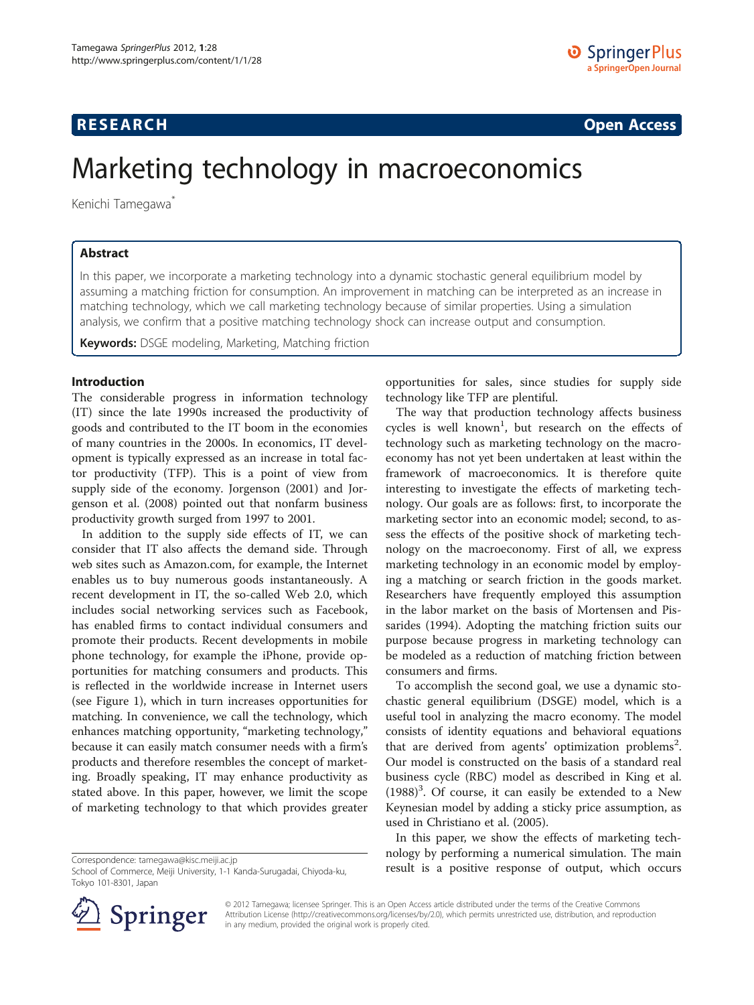## **RESEARCH RESEARCH CONSUMING ACCESS**

# Marketing technology in macroeconomics

Kenichi Tamegawa<sup>\*</sup>

### Abstract

In this paper, we incorporate a marketing technology into a dynamic stochastic general equilibrium model by assuming a matching friction for consumption. An improvement in matching can be interpreted as an increase in matching technology, which we call marketing technology because of similar properties. Using a simulation analysis, we confirm that a positive matching technology shock can increase output and consumption.

Keywords: DSGE modeling, Marketing, Matching friction

#### Introduction

The considerable progress in information technology (IT) since the late 1990s increased the productivity of goods and contributed to the IT boom in the economies of many countries in the 2000s. In economics, IT development is typically expressed as an increase in total factor productivity (TFP). This is a point of view from supply side of the economy. Jorgenson ([2001\)](#page-4-0) and Jorgenson et al. ([2008](#page-4-0)) pointed out that nonfarm business productivity growth surged from 1997 to 2001.

In addition to the supply side effects of IT, we can consider that IT also affects the demand side. Through web sites such as Amazon.com, for example, the Internet enables us to buy numerous goods instantaneously. A recent development in IT, the so-called Web 2.0, which includes social networking services such as Facebook, has enabled firms to contact individual consumers and promote their products. Recent developments in mobile phone technology, for example the iPhone, provide opportunities for matching consumers and products. This is reflected in the worldwide increase in Internet users (see Figure [1](#page-1-0)), which in turn increases opportunities for matching. In convenience, we call the technology, which enhances matching opportunity, "marketing technology," because it can easily match consumer needs with a firm's products and therefore resembles the concept of marketing. Broadly speaking, IT may enhance productivity as stated above. In this paper, however, we limit the scope of marketing technology to that which provides greater



The way that production technology affects business cycles is well known<sup>1</sup>, but research on the effects of technology such as marketing technology on the macroeconomy has not yet been undertaken at least within the framework of macroeconomics. It is therefore quite interesting to investigate the effects of marketing technology. Our goals are as follows: first, to incorporate the marketing sector into an economic model; second, to assess the effects of the positive shock of marketing technology on the macroeconomy. First of all, we express marketing technology in an economic model by employing a matching or search friction in the goods market. Researchers have frequently employed this assumption in the labor market on the basis of Mortensen and Pissarides [\(1994](#page-4-0)). Adopting the matching friction suits our purpose because progress in marketing technology can be modeled as a reduction of matching friction between consumers and firms.

To accomplish the second goal, we use a dynamic stochastic general equilibrium (DSGE) model, which is a useful tool in analyzing the macro economy. The model consists of identity equations and behavioral equations that are derived from agents' optimization problems<sup>2</sup>. Our model is constructed on the basis of a standard real business cycle (RBC) model as described in King et al.  $(1988)^3$  $(1988)^3$  $(1988)^3$ . Of course, it can easily be extended to a New Keynesian model by adding a sticky price assumption, as used in Christiano et al. ([2005](#page-4-0)).

In this paper, we show the effects of marketing technology by performing a numerical simulation. The main Correspondence: [tamegawa@kisc.meiji.ac.jp](mailto:tamegawa@kisc.meiji.ac.jp)<br>School of Commerce. Meiji University. 1-1 Kanda-Surugadai. Chivoda-ku. **Tresult is a positive response of output, which occurs** 



© 2012 Tamegawa; licensee Springer. This is an Open Access article distributed under the terms of the Creative Commons Attribution License [\(http://creativecommons.org/licenses/by/2.0\)](http://creativecommons.org/licenses/by/2.0), which permits unrestricted use, distribution, and reproduction in any medium, provided the original work is properly cited.

School of Commerce, Meiji University, 1-1 Kanda-Surugadai, Chiyoda-ku, Tokyo 101-8301, Japan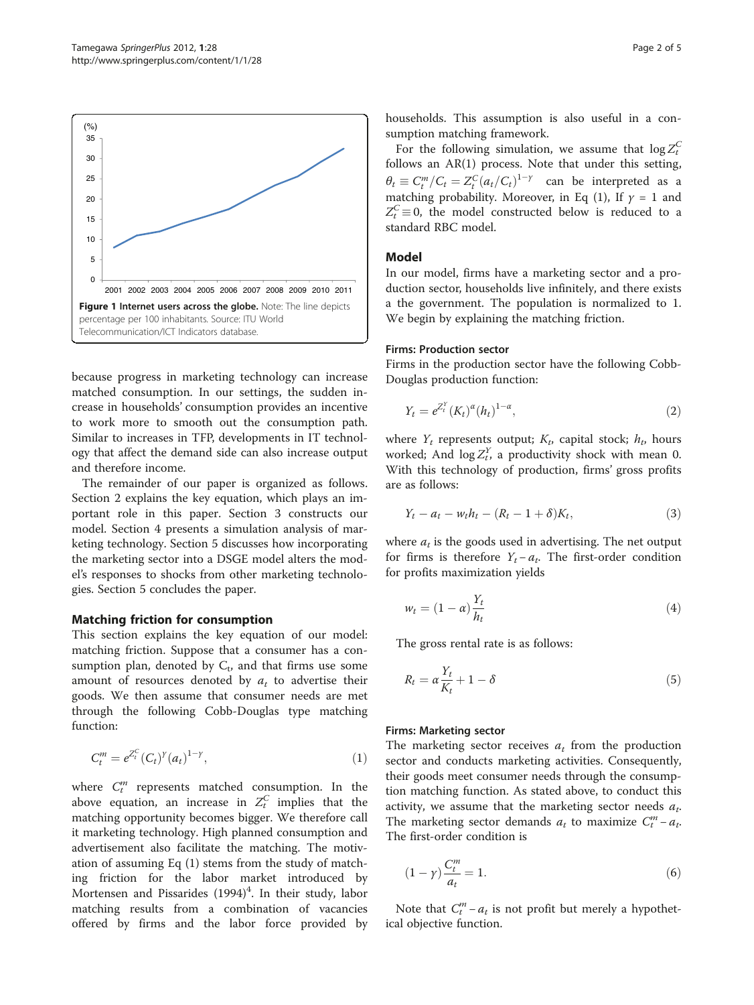<span id="page-1-0"></span>

because progress in marketing technology can increase matched consumption. In our settings, the sudden increase in households' consumption provides an incentive to work more to smooth out the consumption path. Similar to increases in TFP, developments in IT technology that affect the demand side can also increase output and therefore income.

The remainder of our paper is organized as follows. Section 2 explains the key equation, which plays an important role in this paper. Section 3 constructs our model. Section 4 presents a simulation analysis of marketing technology. Section 5 discusses how incorporating the marketing sector into a DSGE model alters the model's responses to shocks from other marketing technologies. Section 5 concludes the paper.

#### Matching friction for consumption

This section explains the key equation of our model: matching friction. Suppose that a consumer has a consumption plan, denoted by  $C_t$ , and that firms use some amount of resources denoted by  $a_t$  to advertise their goods. We then assume that consumer needs are met through the following Cobb-Douglas type matching function:

$$
C_t^m = e^{Z_t^C} (C_t)^{\gamma} (a_t)^{1-\gamma}, \tag{1}
$$

where  $C_t^m$  represents matched consumption. In the above equation, an increase in  $Z_t^C$  implies that the matching opportunity becomes bigger. We therefore call it marketing technology. High planned consumption and advertisement also facilitate the matching. The motivation of assuming Eq (1) stems from the study of matching friction for the labor market introduced by Mortensen and Pissarides ([1994\)](#page-4-0)<sup>4</sup>. In their study, labor matching results from a combination of vacancies offered by firms and the labor force provided by households. This assumption is also useful in a consumption matching framework.

For the following simulation, we assume that  $\log Z_t^C$ follows an AR(1) process. Note that under this setting,  $\theta_t \equiv C_t^m / C_t = Z_t^C (a_t / C_t)^{1-\gamma}$  can be interpreted as a matching probability. Moreover in Eq. (1) If  $y = 1$  and matching probability. Moreover, in Eq (1), If  $\gamma = 1$  and  $Z_t^C \equiv 0$ , the model constructed below is reduced to a standard RBC model standard RBC model.

#### Model

In our model, firms have a marketing sector and a production sector, households live infinitely, and there exists a the government. The population is normalized to 1. We begin by explaining the matching friction.

#### Firms: Production sector

Firms in the production sector have the following Cobb-Douglas production function:

$$
Y_t = e^{Z_t^Y} (K_t)^{\alpha} (h_t)^{1-\alpha}, \tag{2}
$$

where  $Y_t$  represents output;  $K_t$ , capital stock;  $h_t$ , hours worked; And  $\log Z_t^Y$ , a productivity shock with mean 0. With this technology of production, firms' gross profits are as follows:

$$
Y_t - a_t - w_t h_t - (R_t - 1 + \delta) K_t, \tag{3}
$$

where  $a_t$  is the goods used in advertising. The net output for firms is therefore  $Y_t - a_t$ . The first-order condition for profits maximization yields

$$
w_t = (1 - \alpha) \frac{Y_t}{h_t} \tag{4}
$$

The gross rental rate is as follows:

$$
R_t = \alpha \frac{Y_t}{K_t} + 1 - \delta \tag{5}
$$

#### Firms: Marketing sector

The marketing sector receives  $a_t$  from the production sector and conducts marketing activities. Consequently, their goods meet consumer needs through the consumption matching function. As stated above, to conduct this activity, we assume that the marketing sector needs  $a_t$ . The marketing sector demands  $a_t$  to maximize  $C_t^m - a_t$ . The first-order condition is

$$
(1 - \gamma) \frac{C_t^m}{a_t} = 1. \tag{6}
$$

Note that  $C_t^m - a_t$  is not profit but merely a hypothetical objective function.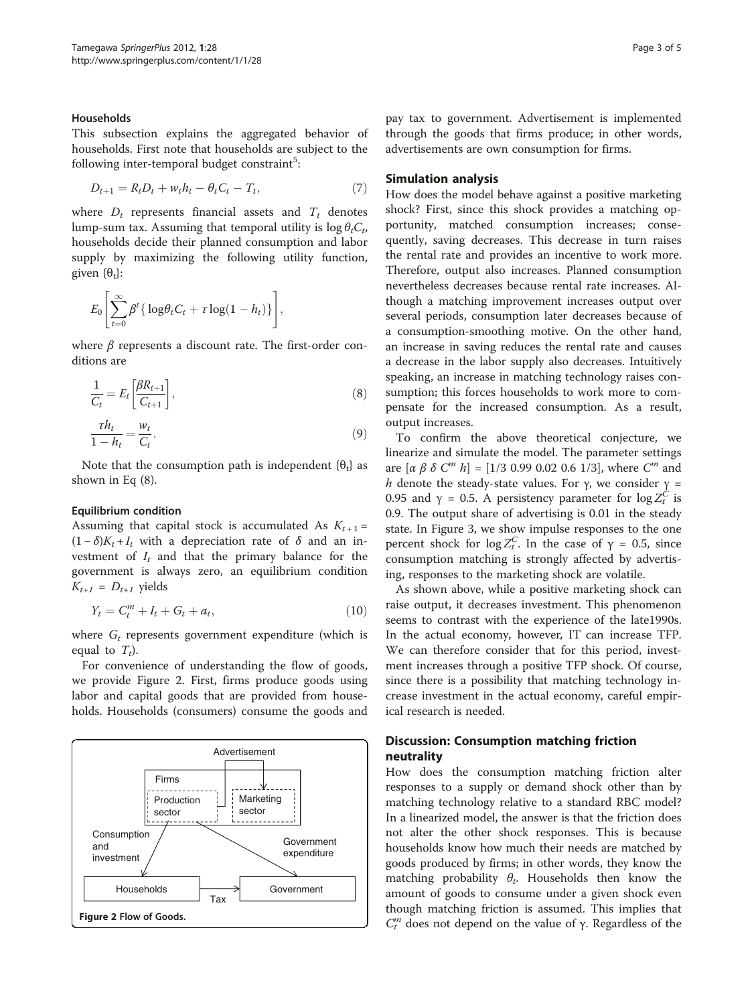#### Households

This subsection explains the aggregated behavior of households. First note that households are subject to the following inter-temporal budget constraint<sup>5</sup>:

$$
D_{t+1} = R_t D_t + w_t h_t - \theta_t C_t - T_t, \qquad (7)
$$

where  $D_t$  represents financial assets and  $T_t$  denotes lump-sum tax. Assuming that temporal utility is  $\log \theta_t C_t$ , households decide their planned consumption and labor supply by maximizing the following utility function, given  $\{\theta_t\}$ :

$$
E_0\left[\sum_{t=0}^{\infty}\beta^t\{\log\theta_tC_t+\tau\log(1-h_t)\}\right],
$$

where  $\beta$  represents a discount rate. The first-order conditions are

$$
\frac{1}{C_t} = E_t \left[ \frac{\beta R_{t+1}}{C_{t+1}} \right],\tag{8}
$$

$$
\frac{\tau h_t}{1 - h_t} = \frac{w_t}{C_t}.\tag{9}
$$

Note that the consumption path is independent  $\{\theta_t\}$  as shown in Eq (8).

#### Equilibrium condition

Assuming that capital stock is accumulated As  $K_{t+1}$  =  $(1 - \delta)K_t + I_t$  with a depreciation rate of  $\delta$  and an investment of  $I_t$  and that the primary balance for the government is always zero, an equilibrium condition  $K_{t+1} = D_{t+1}$  yields

$$
Y_t = C_t^m + I_t + G_t + a_t, \tag{10}
$$

where  $G_t$  represents government expenditure (which is equal to  $T_t$ ).

For convenience of understanding the flow of goods, we provide Figure 2. First, firms produce goods using labor and capital goods that are provided from households. Households (consumers) consume the goods and



pay tax to government. Advertisement is implemented through the goods that firms produce; in other words, advertisements are own consumption for firms.

#### Simulation analysis

How does the model behave against a positive marketing shock? First, since this shock provides a matching opportunity, matched consumption increases; consequently, saving decreases. This decrease in turn raises the rental rate and provides an incentive to work more. Therefore, output also increases. Planned consumption nevertheless decreases because rental rate increases. Although a matching improvement increases output over several periods, consumption later decreases because of a consumption-smoothing motive. On the other hand, an increase in saving reduces the rental rate and causes a decrease in the labor supply also decreases. Intuitively speaking, an increase in matching technology raises consumption; this forces households to work more to compensate for the increased consumption. As a result, output increases.

To confirm the above theoretical conjecture, we linearize and simulate the model. The parameter settings are  $[\alpha \beta \delta C^m h] = [1/3 \ 0.99 \ 0.02 \ 0.6 \ 1/3]$ , where  $C^m$  and h denote the steady-state values. For  $\gamma$ , we consider  $\gamma$  = 0.95 and  $\gamma = 0.5$ . A persistency parameter for  $\log Z_t^C$  is 0.9. The output share of advertising is 0.01 in the steady state. In Figure [3,](#page-3-0) we show impulse responses to the one percent shock for  $\log Z_t^C$ . In the case of  $\gamma = 0.5$ , since consumption matching is strongly affected by advertising, responses to the marketing shock are volatile.

As shown above, while a positive marketing shock can raise output, it decreases investment. This phenomenon seems to contrast with the experience of the late1990s. In the actual economy, however, IT can increase TFP. We can therefore consider that for this period, investment increases through a positive TFP shock. Of course, since there is a possibility that matching technology increase investment in the actual economy, careful empirical research is needed.

## Discussion: Consumption matching friction neutrality

How does the consumption matching friction alter responses to a supply or demand shock other than by matching technology relative to a standard RBC model? In a linearized model, the answer is that the friction does not alter the other shock responses. This is because households know how much their needs are matched by goods produced by firms; in other words, they know the matching probability  $\theta_t$ . Households then know the amount of goods to consume under a given shock even though matching friction is assumed. This implies that  $C_t^m$  does not depend on the value of γ. Regardless of the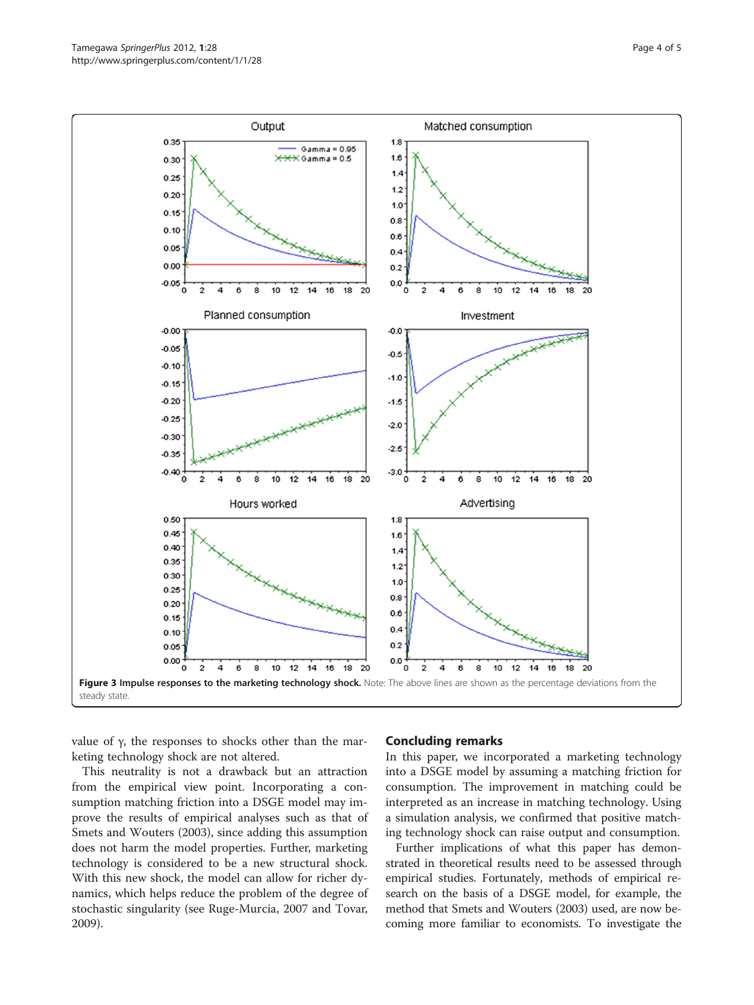<span id="page-3-0"></span>

value of γ, the responses to shocks other than the marketing technology shock are not altered.

This neutrality is not a drawback but an attraction from the empirical view point. Incorporating a consumption matching friction into a DSGE model may improve the results of empirical analyses such as that of Smets and Wouters ([2003](#page-4-0)), since adding this assumption does not harm the model properties. Further, marketing technology is considered to be a new structural shock. With this new shock, the model can allow for richer dynamics, which helps reduce the problem of the degree of stochastic singularity (see Ruge-Murcia, [2007](#page-4-0) and Tovar, [2009](#page-4-0)).

#### Concluding remarks

In this paper, we incorporated a marketing technology into a DSGE model by assuming a matching friction for consumption. The improvement in matching could be interpreted as an increase in matching technology. Using a simulation analysis, we confirmed that positive matching technology shock can raise output and consumption.

Further implications of what this paper has demonstrated in theoretical results need to be assessed through empirical studies. Fortunately, methods of empirical research on the basis of a DSGE model, for example, the method that Smets and Wouters [\(2003](#page-4-0)) used, are now becoming more familiar to economists. To investigate the